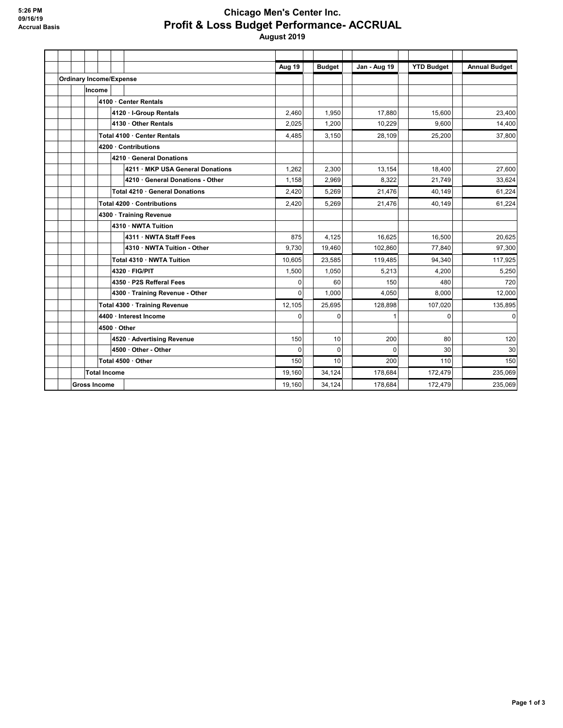## **Chicago Men's Center Inc. Profit & Loss Budget Performance- ACCRUAL August 2019**

|  |                                |                       |                               |                                  | Aug 19   | <b>Budget</b> | <b>Jan - Aug 19</b> | <b>YTD Budget</b> | <b>Annual Budget</b> |
|--|--------------------------------|-----------------------|-------------------------------|----------------------------------|----------|---------------|---------------------|-------------------|----------------------|
|  | <b>Ordinary Income/Expense</b> |                       |                               |                                  |          |               |                     |                   |                      |
|  |                                | Income                |                               |                                  |          |               |                     |                   |                      |
|  |                                |                       | 4100 Center Rentals           |                                  |          |               |                     |                   |                      |
|  |                                |                       | 4120 · I-Group Rentals        |                                  | 2,460    | 1,950         | 17,880              | 15,600            | 23,400               |
|  |                                |                       |                               | 4130 · Other Rentals             | 2,025    | 1,200         | 10.229              | 9.600             | 14,400               |
|  |                                |                       | Total 4100 Center Rentals     | 4,485                            | 3,150    | 28.109        | 25,200              | 37,800            |                      |
|  |                                | 4200 · Contributions  |                               |                                  |          |               |                     |                   |                      |
|  |                                |                       | 4210 · General Donations      |                                  |          |               |                     |                   |                      |
|  |                                |                       |                               | 4211 · MKP USA General Donations | 1,262    | 2,300         | 13,154              | 18,400            | 27,600               |
|  |                                |                       |                               | 4210 · General Donations - Other | 1,158    | 2.969         | 8.322               | 21.749            | 33,624               |
|  |                                |                       |                               | Total 4210 · General Donations   | 2,420    | 5.269         | 21.476              | 40.149            | 61.224               |
|  |                                |                       | Total 4200 · Contributions    | 2,420                            | 5,269    | 21,476        | 40,149              | 61,224            |                      |
|  |                                | 4300 Training Revenue |                               |                                  |          |               |                     |                   |                      |
|  |                                |                       |                               | 4310 · NWTA Tuition              |          |               |                     |                   |                      |
|  |                                |                       |                               | 4311 · NWTA Staff Fees           | 875      | 4.125         | 16.625              | 16,500            | 20,625               |
|  |                                |                       |                               | 4310 · NWTA Tuition - Other      | 9,730    | 19,460        | 102.860             | 77.840            | 97,300               |
|  |                                |                       |                               | Total 4310 · NWTA Tuition        | 10,605   | 23,585        | 119,485             | 94,340            | 117,925              |
|  |                                |                       |                               | 4320 · FIG/PIT                   | 1,500    | 1,050         | 5,213               | 4,200             | 5,250                |
|  |                                |                       |                               | 4350 · P2S Refferal Fees         | $\Omega$ | 60            | 150                 | 480               | 720                  |
|  |                                |                       |                               | 4300 · Training Revenue - Other  | $\Omega$ | 1,000         | 4,050               | 8.000             | 12,000               |
|  |                                |                       | Total 4300 · Training Revenue |                                  |          | 25,695        | 128,898             | 107,020           | 135,895              |
|  |                                |                       | 4400 · Interest Income        | $\Omega$                         | $\Omega$ |               | $\Omega$            | $\mathbf 0$       |                      |
|  |                                | 4500 Other            |                               |                                  |          |               |                     |                   |                      |
|  |                                |                       |                               | 4520 · Advertising Revenue       | 150      | 10            | 200                 | 80                | 120                  |
|  |                                |                       |                               | 4500 · Other - Other             | $\Omega$ | 0             | $\Omega$            | 30                | 30                   |
|  |                                | Total 4500 · Other    |                               |                                  |          | 10            | 200                 | 110               | 150                  |
|  |                                | <b>Total Income</b>   |                               |                                  |          | 34,124        | 178.684             | 172,479           | 235,069              |
|  |                                | <b>Gross Income</b>   |                               |                                  |          | 34,124        | 178,684             | 172,479           | 235,069              |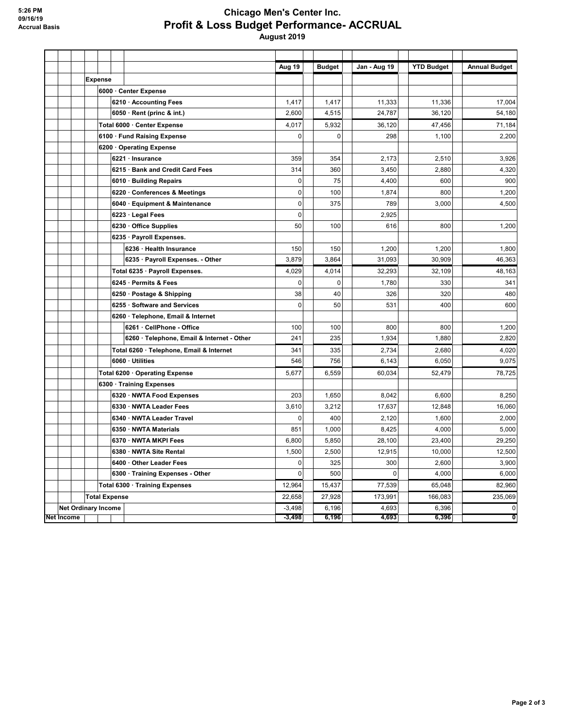## **Chicago Men's Center Inc. Profit & Loss Budget Performance- ACCRUAL August 2019**

|            |                            |                      |  |                                            | Aug 19      | <b>Budget</b> | Jan - Aug 19 | <b>YTD Budget</b> | <b>Annual Budget</b> |
|------------|----------------------------|----------------------|--|--------------------------------------------|-------------|---------------|--------------|-------------------|----------------------|
|            |                            | <b>Expense</b>       |  |                                            |             |               |              |                   |                      |
|            |                            |                      |  | 6000 · Center Expense                      |             |               |              |                   |                      |
|            |                            |                      |  | 6210 · Accounting Fees                     | 1,417       | 1,417         | 11,333       | 11,336            | 17,004               |
|            |                            |                      |  | 6050 · Rent (princ & int.)                 | 2,600       | 4,515         | 24,787       | 36,120            | 54,180               |
|            |                            |                      |  | Total 6000 · Center Expense                | 4,017       | 5,932         | 36,120       | 47,456            | 71,184               |
|            |                            |                      |  | 6100 Fund Raising Expense                  | 0           | $\mathbf 0$   | 298          | 1,100             | 2,200                |
|            |                            |                      |  | 6200 Operating Expense                     |             |               |              |                   |                      |
|            |                            |                      |  | 6221 · Insurance                           | 359         | 354           | 2,173        | 2,510             | 3,926                |
|            |                            |                      |  | 6215 · Bank and Credit Card Fees           | 314         | 360           | 3,450        | 2,880             | 4,320                |
|            |                            |                      |  | 6010 · Building Repairs                    | $\mathbf 0$ | 75            | 4,400        | 600               | 900                  |
|            |                            |                      |  | 6220 · Conferences & Meetings              | $\mathbf 0$ | 100           | 1,874        | 800               | 1,200                |
|            |                            |                      |  | 6040 · Equipment & Maintenance             | $\mathbf 0$ | 375           | 789          | 3,000             | 4,500                |
|            |                            |                      |  | 6223 · Legal Fees                          | $\mathbf 0$ |               | 2,925        |                   |                      |
|            |                            |                      |  | 6230 · Office Supplies                     | 50          | 100           | 616          | 800               | 1,200                |
|            |                            |                      |  | 6235 · Payroll Expenses.                   |             |               |              |                   |                      |
|            |                            |                      |  | 6236 · Health Insurance                    | 150         | 150           | 1,200        | 1,200             | 1,800                |
|            |                            |                      |  | 6235 · Payroll Expenses. - Other           | 3,879       | 3.864         | 31,093       | 30,909            | 46,363               |
|            |                            |                      |  | Total 6235 · Payroll Expenses.             | 4,029       | 4,014         | 32,293       | 32,109            | 48,163               |
|            |                            |                      |  | 6245 · Permits & Fees                      | $\mathbf 0$ | $\mathbf 0$   | 1,780        | 330               | 341                  |
|            |                            |                      |  | 6250 · Postage & Shipping                  | 38          | 40            | 326          | 320               | 480                  |
|            |                            |                      |  | 6255 · Software and Services               | $\mathbf 0$ | 50            | 531          | 400               | 600                  |
|            |                            |                      |  | 6260 · Telephone, Email & Internet         |             |               |              |                   |                      |
|            |                            |                      |  | 6261 · CellPhone - Office                  | 100         | 100           | 800          | 800               | 1,200                |
|            |                            |                      |  | 6260 · Telephone, Email & Internet - Other | 241         | 235           | 1,934        | 1,880             | 2,820                |
|            |                            |                      |  | Total 6260 · Telephone, Email & Internet   | 341         | 335           | 2,734        | 2,680             | 4,020                |
|            |                            |                      |  | 6060 · Utilities                           | 546         | 756           | 6,143        | 6,050             | 9,075                |
|            |                            |                      |  | Total 6200 · Operating Expense             | 5,677       | 6,559         | 60,034       | 52,479            | 78,725               |
|            |                            |                      |  | 6300 Training Expenses                     |             |               |              |                   |                      |
|            |                            |                      |  | 6320 · NWTA Food Expenses                  | 203         | 1,650         | 8,042        | 6,600             | 8,250                |
|            |                            |                      |  | 6330 · NWTA Leader Fees                    | 3,610       | 3,212         | 17,637       | 12,848            | 16,060               |
|            |                            |                      |  | 6340 · NWTA Leader Travel                  | 0           | 400           | 2,120        | 1,600             | 2,000                |
|            |                            |                      |  | 6350 · NWTA Materials                      | 851         | 1,000         | 8,425        | 4,000             | 5,000                |
|            |                            |                      |  | 6370 · NWTA MKPI Fees                      | 6,800       | 5,850         | 28,100       | 23,400            | 29,250               |
|            |                            |                      |  | 6380 · NWTA Site Rental                    | 1,500       | 2,500         | 12,915       | 10,000            | 12,500               |
|            |                            |                      |  | 6400 Other Leader Fees                     | $\pmb{0}$   | 325           | 300          | 2,600             | 3,900                |
|            |                            |                      |  | 6300 · Training Expenses - Other           | $\mathbf 0$ | 500           | 0            | 4,000             | 6,000                |
|            |                            |                      |  | Total 6300 Training Expenses               | 12,964      | 15,437        | 77,539       | 65,048            | 82,960               |
|            |                            | <b>Total Expense</b> |  |                                            | 22,658      | 27,928        | 173,991      | 166,083           | 235,069              |
|            | <b>Net Ordinary Income</b> |                      |  |                                            | $-3,498$    | 6,196         | 4.693        | 6,396             | $\pmb{0}$            |
| Net Income |                            |                      |  |                                            | $-3,498$    | 6,196         | 4,693        | 6,396             | 0                    |